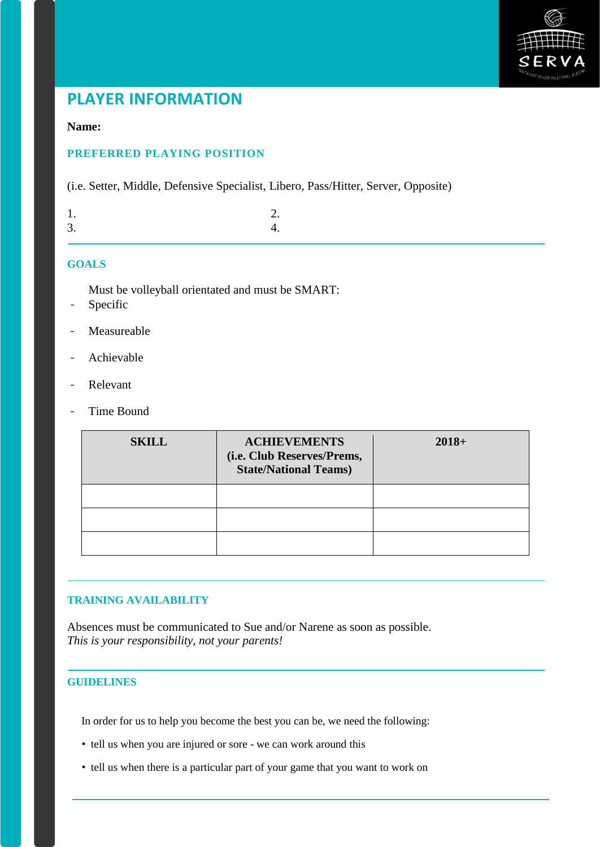

# **PLAYER INFORMATION**

#### **Name:**

# **PREFERRED PLAYING POSITION**

(i.e. Setter, Middle, Defensive Specialist, Libero, Pass/Hitter, Server, Opposite)

|    | $\sim$ |
|----|--------|
| 3. |        |

# **GOALS**

Must be volleyball orientated and must be SMART:

- Specific
- **Measureable**
- Achievable
- **Relevant**
- Time Bound

| <b>SKILL</b> | <b>ACHIEVEMENTS</b><br>(i.e. Club Reserves/Prems,<br><b>State/National Teams)</b> | $2018+$ |
|--------------|-----------------------------------------------------------------------------------|---------|
|              |                                                                                   |         |
|              |                                                                                   |         |
|              |                                                                                   |         |

#### **TRAINING AVAILABILITY**

Absences must be communicated to Sue and/or Narene as soon as possible. *This is your responsibility, not your parents!*

# **GUIDELINES**

In order for us to help you become the best you can be, we need the following:

- tell us when you are injured or sore we can work around this
- tell us when there is a particular part of your game that you want to work on